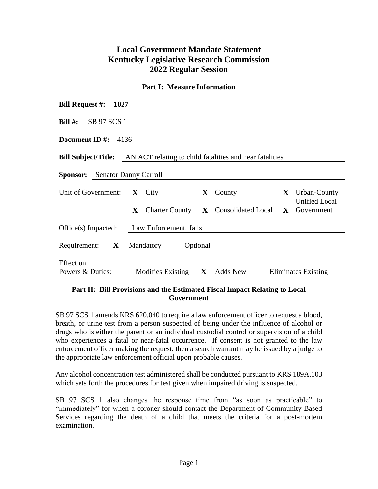# **Local Government Mandate Statement Kentucky Legislative Research Commission 2022 Regular Session**

#### **Part I: Measure Information**

| Bill Request #: $1027$                                                                               |  |  |
|------------------------------------------------------------------------------------------------------|--|--|
| Bill #: $SB 97 SCS 1$                                                                                |  |  |
| Document ID #: $4136$                                                                                |  |  |
| <b>Bill Subject/Title:</b> AN ACT relating to child fatalities and near fatalities.                  |  |  |
| <b>Sponsor:</b> Senator Danny Carroll                                                                |  |  |
| Unit of Government: $X$ City<br>$\bf{X}$ Urban-County<br>$\mathbf{X}$ County<br><b>Unified Local</b> |  |  |
| X Charter County X Consolidated Local X Government                                                   |  |  |
| Office(s) Impacted: Law Enforcement, Jails                                                           |  |  |
| Requirement: X Mandatory Optional                                                                    |  |  |
| Effect on<br>Powers & Duties: Modifies Existing X Adds New Eliminates Existing                       |  |  |

### **Part II: Bill Provisions and the Estimated Fiscal Impact Relating to Local Government**

SB 97 SCS 1 amends KRS 620.040 to require a law enforcement officer to request a blood, breath, or urine test from a person suspected of being under the influence of alcohol or drugs who is either the parent or an individual custodial control or supervision of a child who experiences a fatal or near-fatal occurrence. If consent is not granted to the law enforcement officer making the request, then a search warrant may be issued by a judge to the appropriate law enforcement official upon probable causes.

Any alcohol concentration test administered shall be conducted pursuant to KRS 189A.103 which sets forth the procedures for test given when impaired driving is suspected.

SB 97 SCS 1 also changes the response time from "as soon as practicable" to "immediately" for when a coroner should contact the Department of Community Based Services regarding the death of a child that meets the criteria for a post-mortem examination.